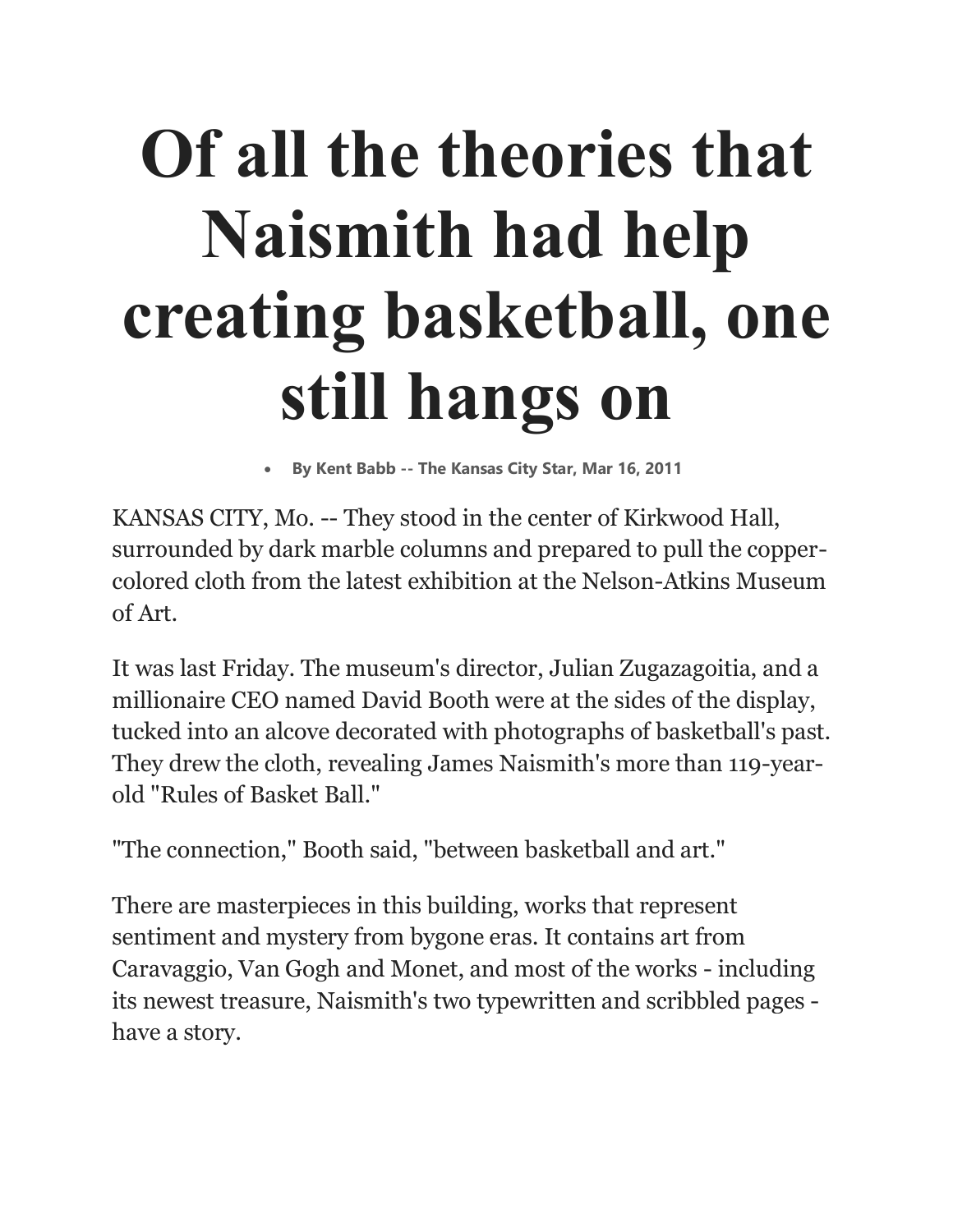## **Of all the theories that Naismith had help creating basketball, one still hangs on**

• **By Kent Babb -- The Kansas City Star, Mar 16, 2011**

KANSAS CITY, Mo. -- They stood in the center of Kirkwood Hall, surrounded by dark marble columns and prepared to pull the coppercolored cloth from the latest exhibition at the Nelson-Atkins Museum of Art.

It was last Friday. The museum's director, Julian Zugazagoitia, and a millionaire CEO named David Booth were at the sides of the display, tucked into an alcove decorated with photographs of basketball's past. They drew the cloth, revealing James Naismith's more than 119-yearold "Rules of Basket Ball."

"The connection," Booth said, "between basketball and art."

There are masterpieces in this building, works that represent sentiment and mystery from bygone eras. It contains art from Caravaggio, Van Gogh and Monet, and most of the works - including its newest treasure, Naismith's two typewritten and scribbled pages have a story.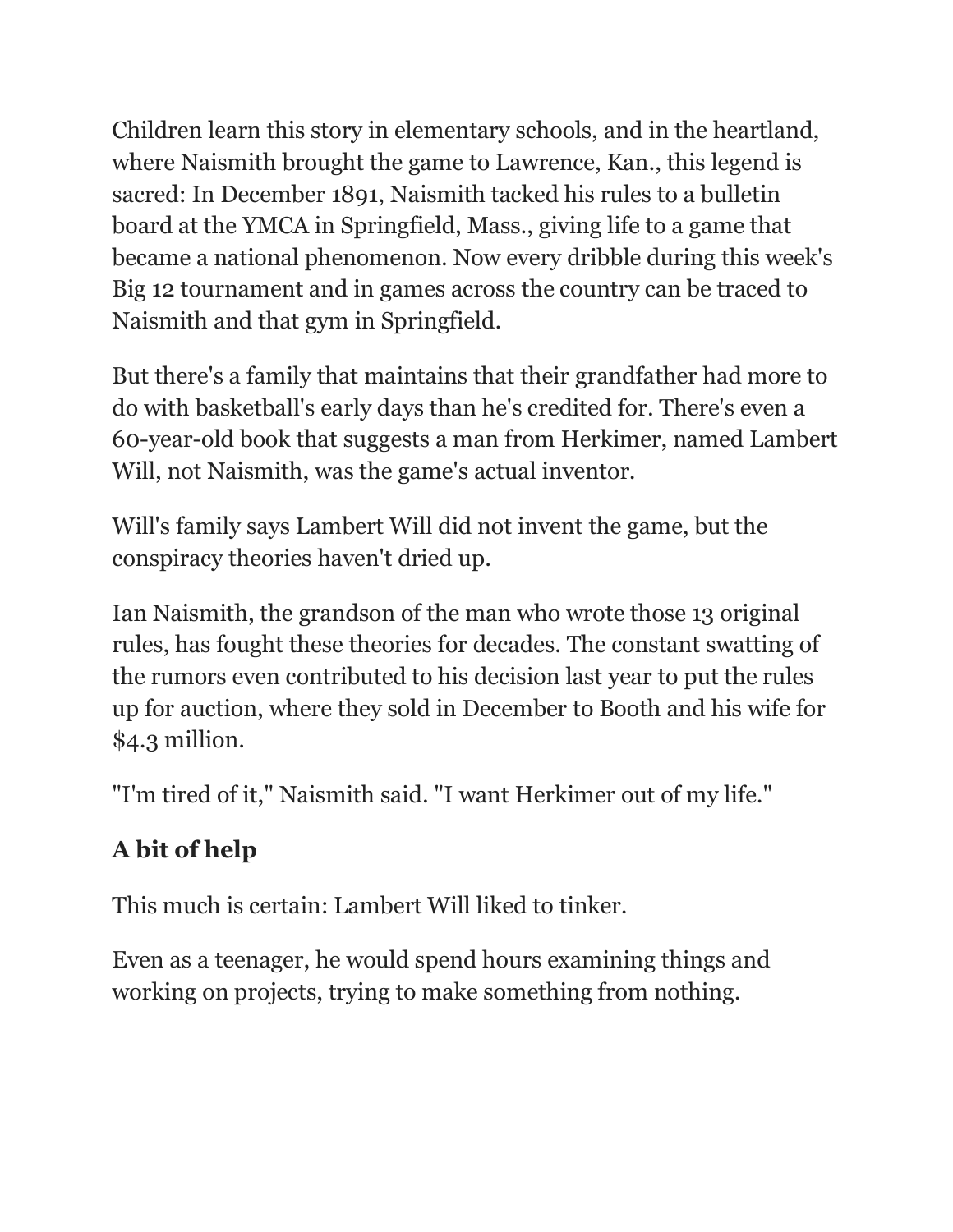Children learn this story in elementary schools, and in the heartland, where Naismith brought the game to Lawrence, Kan., this legend is sacred: In December 1891, Naismith tacked his rules to a bulletin board at the YMCA in Springfield, Mass., giving life to a game that became a national phenomenon. Now every dribble during this week's Big 12 tournament and in games across the country can be traced to Naismith and that gym in Springfield.

But there's a family that maintains that their grandfather had more to do with basketball's early days than he's credited for. There's even a 60-year-old book that suggests a man from Herkimer, named Lambert Will, not Naismith, was the game's actual inventor.

Will's family says Lambert Will did not invent the game, but the conspiracy theories haven't dried up.

Ian Naismith, the grandson of the man who wrote those 13 original rules, has fought these theories for decades. The constant swatting of the rumors even contributed to his decision last year to put the rules up for auction, where they sold in December to Booth and his wife for \$4.3 million.

"I'm tired of it," Naismith said. "I want Herkimer out of my life."

## **A bit of help**

This much is certain: Lambert Will liked to tinker.

Even as a teenager, he would spend hours examining things and working on projects, trying to make something from nothing.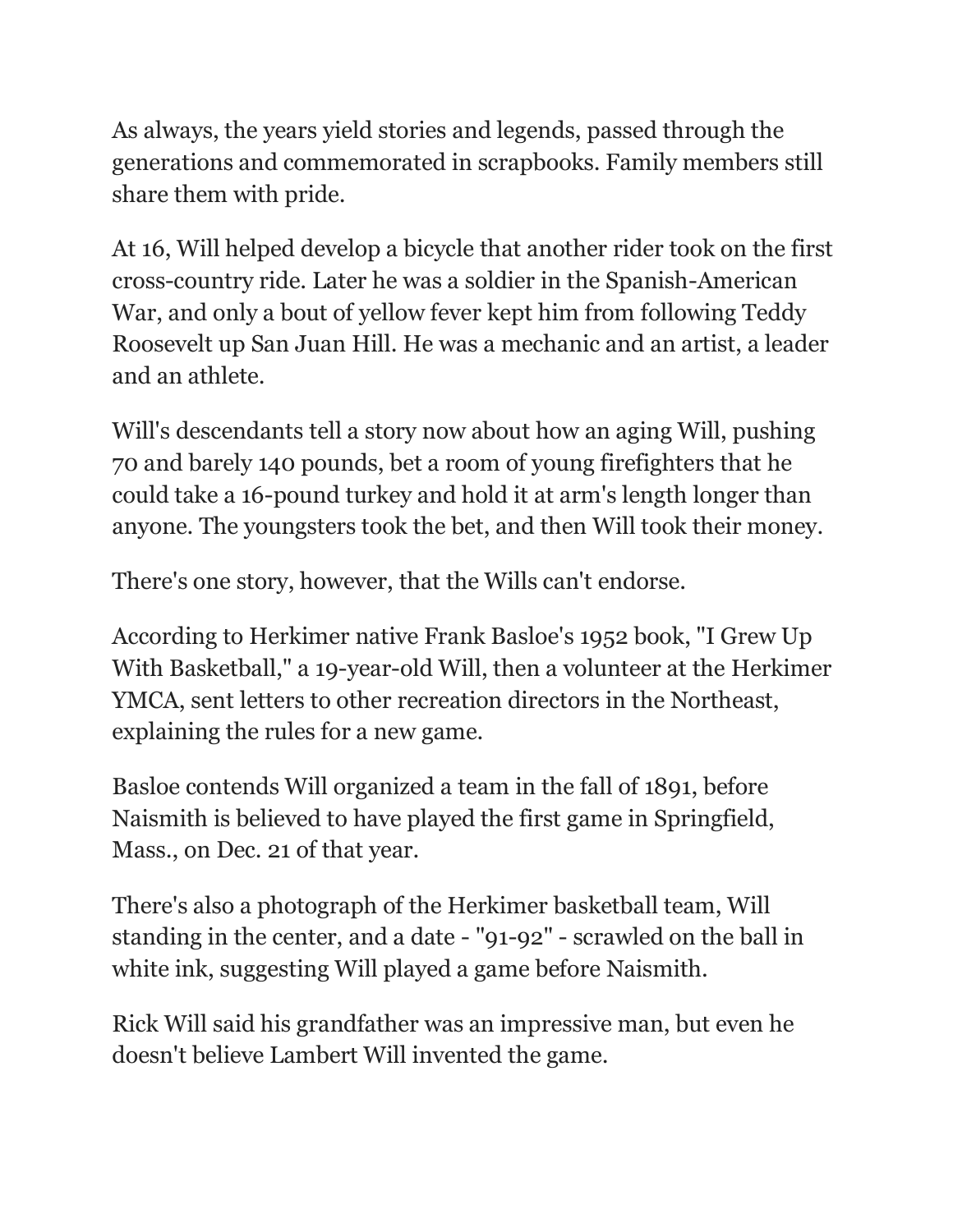As always, the years yield stories and legends, passed through the generations and commemorated in scrapbooks. Family members still share them with pride.

At 16, Will helped develop a bicycle that another rider took on the first cross-country ride. Later he was a soldier in the Spanish-American War, and only a bout of yellow fever kept him from following Teddy Roosevelt up San Juan Hill. He was a mechanic and an artist, a leader and an athlete.

Will's descendants tell a story now about how an aging Will, pushing 70 and barely 140 pounds, bet a room of young firefighters that he could take a 16-pound turkey and hold it at arm's length longer than anyone. The youngsters took the bet, and then Will took their money.

There's one story, however, that the Wills can't endorse.

According to Herkimer native Frank Basloe's 1952 book, "I Grew Up With Basketball," a 19-year-old Will, then a volunteer at the Herkimer YMCA, sent letters to other recreation directors in the Northeast, explaining the rules for a new game.

Basloe contends Will organized a team in the fall of 1891, before Naismith is believed to have played the first game in Springfield, Mass., on Dec. 21 of that year.

There's also a photograph of the Herkimer basketball team, Will standing in the center, and a date - "91-92" - scrawled on the ball in white ink, suggesting Will played a game before Naismith.

Rick Will said his grandfather was an impressive man, but even he doesn't believe Lambert Will invented the game.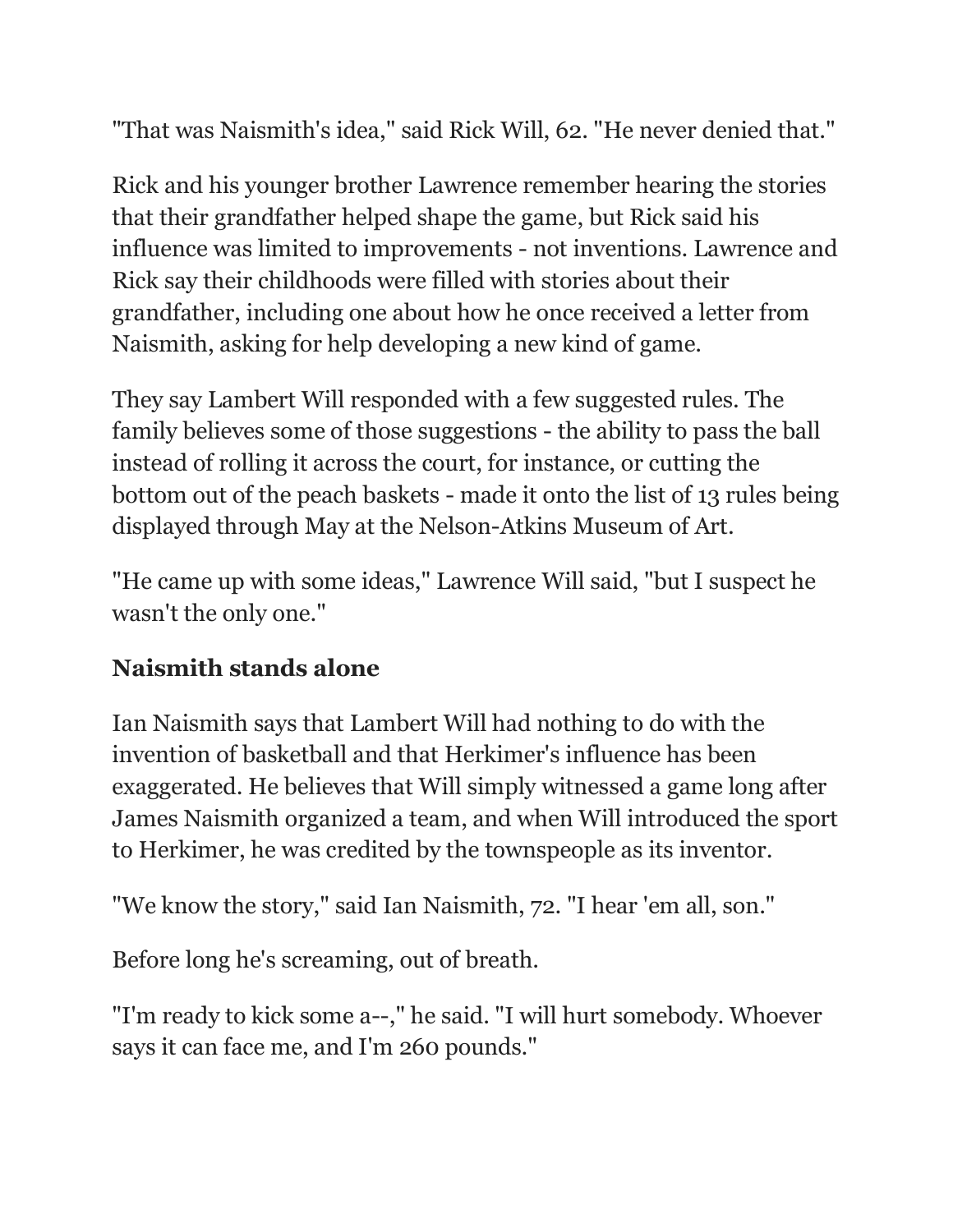"That was Naismith's idea," said Rick Will, 62. "He never denied that."

Rick and his younger brother Lawrence remember hearing the stories that their grandfather helped shape the game, but Rick said his influence was limited to improvements - not inventions. Lawrence and Rick say their childhoods were filled with stories about their grandfather, including one about how he once received a letter from Naismith, asking for help developing a new kind of game.

They say Lambert Will responded with a few suggested rules. The family believes some of those suggestions - the ability to pass the ball instead of rolling it across the court, for instance, or cutting the bottom out of the peach baskets - made it onto the list of 13 rules being displayed through May at the Nelson-Atkins Museum of Art.

"He came up with some ideas," Lawrence Will said, "but I suspect he wasn't the only one."

## **Naismith stands alone**

Ian Naismith says that Lambert Will had nothing to do with the invention of basketball and that Herkimer's influence has been exaggerated. He believes that Will simply witnessed a game long after James Naismith organized a team, and when Will introduced the sport to Herkimer, he was credited by the townspeople as its inventor.

"We know the story," said Ian Naismith, 72. "I hear 'em all, son."

Before long he's screaming, out of breath.

"I'm ready to kick some a--," he said. "I will hurt somebody. Whoever says it can face me, and I'm 260 pounds."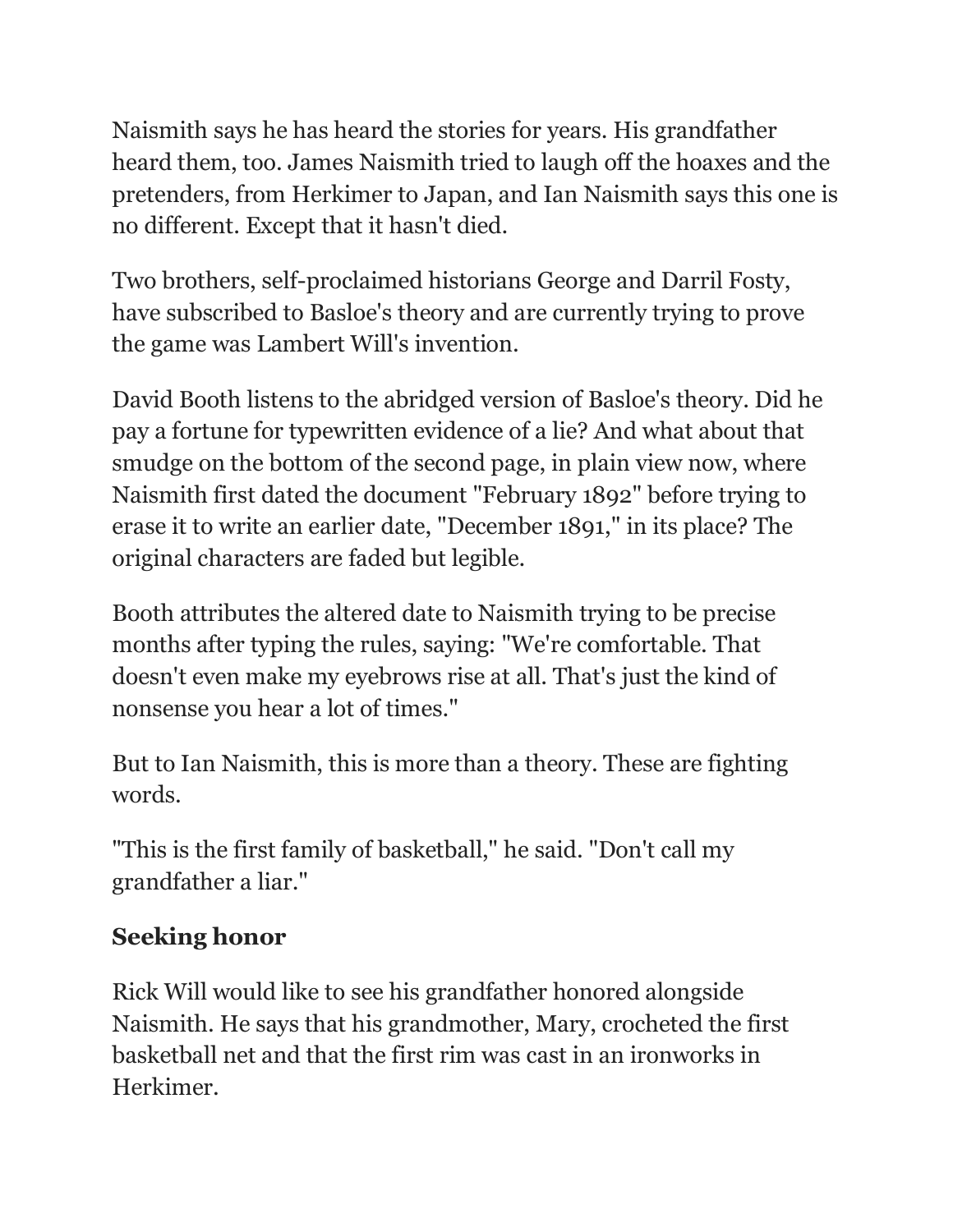Naismith says he has heard the stories for years. His grandfather heard them, too. James Naismith tried to laugh off the hoaxes and the pretenders, from Herkimer to Japan, and Ian Naismith says this one is no different. Except that it hasn't died.

Two brothers, self-proclaimed historians George and Darril Fosty, have subscribed to Basloe's theory and are currently trying to prove the game was Lambert Will's invention.

David Booth listens to the abridged version of Basloe's theory. Did he pay a fortune for typewritten evidence of a lie? And what about that smudge on the bottom of the second page, in plain view now, where Naismith first dated the document "February 1892" before trying to erase it to write an earlier date, "December 1891," in its place? The original characters are faded but legible.

Booth attributes the altered date to Naismith trying to be precise months after typing the rules, saying: "We're comfortable. That doesn't even make my eyebrows rise at all. That's just the kind of nonsense you hear a lot of times."

But to Ian Naismith, this is more than a theory. These are fighting words.

"This is the first family of basketball," he said. "Don't call my grandfather a liar."

## **Seeking honor**

Rick Will would like to see his grandfather honored alongside Naismith. He says that his grandmother, Mary, crocheted the first basketball net and that the first rim was cast in an ironworks in Herkimer.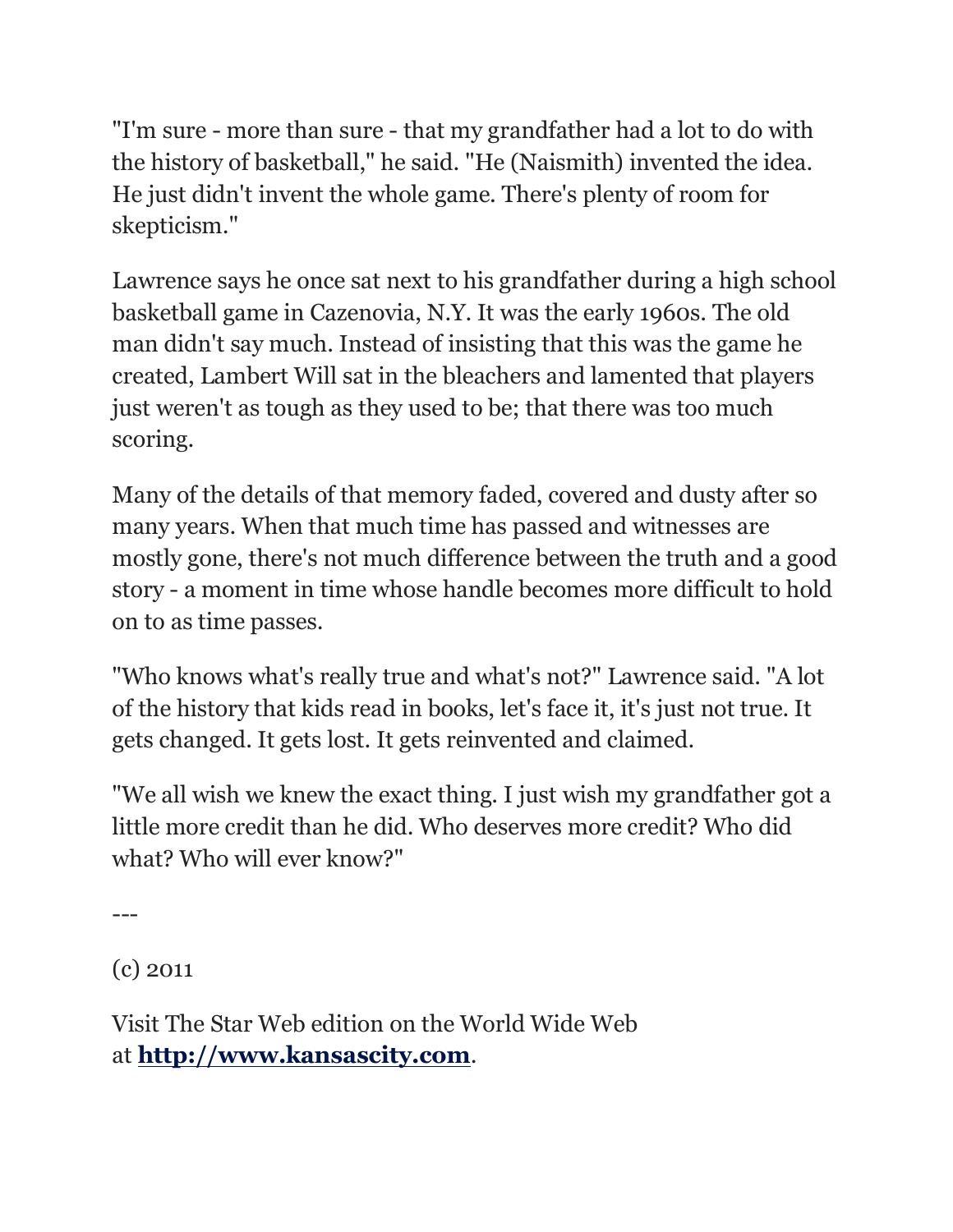"I'm sure - more than sure - that my grandfather had a lot to do with the history of basketball," he said. "He (Naismith) invented the idea. He just didn't invent the whole game. There's plenty of room for skepticism."

Lawrence says he once sat next to his grandfather during a high school basketball game in Cazenovia, N.Y. It was the early 1960s. The old man didn't say much. Instead of insisting that this was the game he created, Lambert Will sat in the bleachers and lamented that players just weren't as tough as they used to be; that there was too much scoring.

Many of the details of that memory faded, covered and dusty after so many years. When that much time has passed and witnesses are mostly gone, there's not much difference between the truth and a good story - a moment in time whose handle becomes more difficult to hold on to as time passes.

"Who knows what's really true and what's not?" Lawrence said. "A lot of the history that kids read in books, let's face it, it's just not true. It gets changed. It gets lost. It gets reinvented and claimed.

"We all wish we knew the exact thing. I just wish my grandfather got a little more credit than he did. Who deserves more credit? Who did what? Who will ever know?"

---

(c) 2011

Visit The Star Web edition on the World Wide Web at **[http://www.kansascity.com](http://www.kansascity.com/)**.